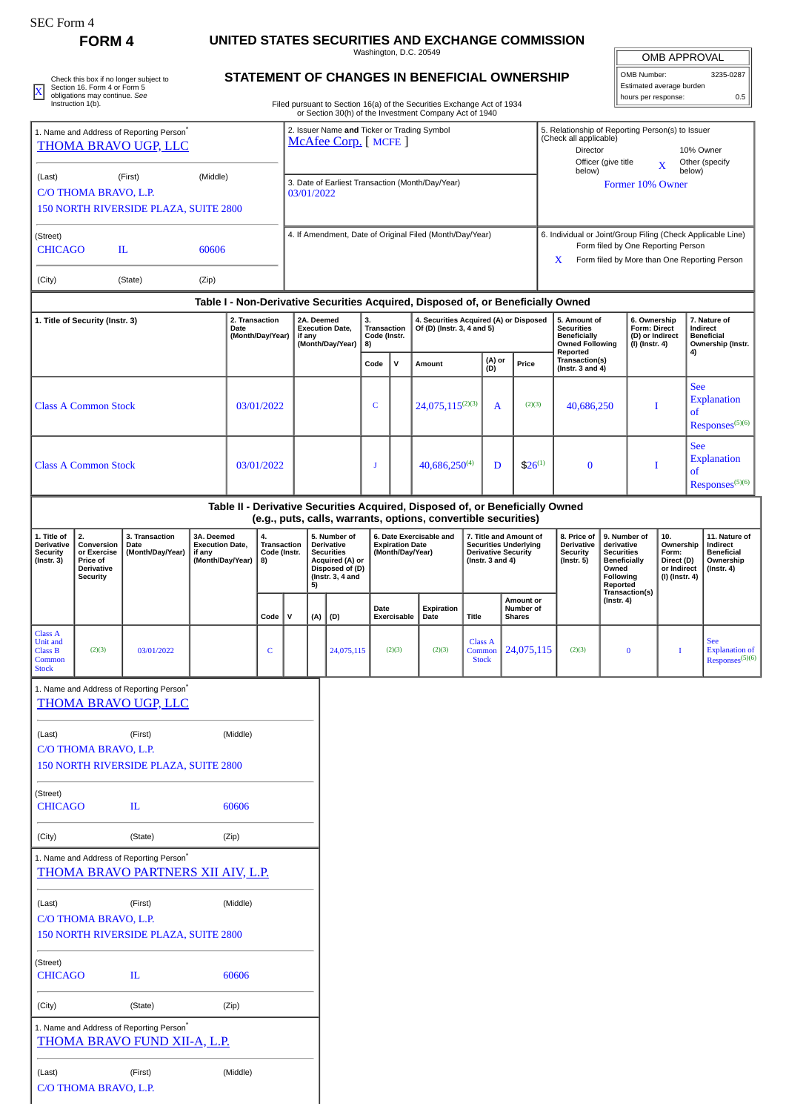| EU. FOLM |  |
|----------|--|
|----------|--|

## **FORM 4 UNITED STATES SECURITIES AND EXCHANGE COMMISSION**

Washington, D.C. 20549

| <b>OMB APPROVAL</b>      |           |  |  |  |  |  |
|--------------------------|-----------|--|--|--|--|--|
| OMB Number:              | 3235-0287 |  |  |  |  |  |
| Estimated average burden |           |  |  |  |  |  |

|                                                                                                                                                       |                                                                                                                                         |                | Washington, D.C. 20549                                                                                                                                                                         |                                                                                    | <b>OMB APPROVAL</b>                                                                                                                               |                             |
|-------------------------------------------------------------------------------------------------------------------------------------------------------|-----------------------------------------------------------------------------------------------------------------------------------------|----------------|------------------------------------------------------------------------------------------------------------------------------------------------------------------------------------------------|------------------------------------------------------------------------------------|---------------------------------------------------------------------------------------------------------------------------------------------------|-----------------------------|
| Check this box if no longer subject to<br>Section 16. Form 4 or Form 5<br>$\overline{\text{X}}$<br>obligations may continue. See<br>Instruction 1(b). |                                                                                                                                         |                | STATEMENT OF CHANGES IN BENEFICIAL OWNERSHIP<br>Filed pursuant to Section 16(a) of the Securities Exchange Act of 1934                                                                         | 3235-0287<br>OMB Number:<br>Estimated average burden<br>0.5<br>hours per response: |                                                                                                                                                   |                             |
| (Last)<br>C/O THOMA BRAVO, L.P.                                                                                                                       | 1. Name and Address of Reporting Person <sup>®</sup><br><b>THOMA BRAVO UGP, LLC</b><br>(First)<br>150 NORTH RIVERSIDE PLAZA, SUITE 2800 | (Middle)       | or Section 30(h) of the Investment Company Act of 1940<br>2. Issuer Name and Ticker or Trading Symbol<br>McAfee Corp. [MCFE]<br>3. Date of Earliest Transaction (Month/Day/Year)<br>03/01/2022 | (Check all applicable)<br>Director<br>Officer (give title<br>below)                | 5. Relationship of Reporting Person(s) to Issuer<br>below)<br>Former 10% Owner                                                                    | 10% Owner<br>Other (specify |
| (Street)<br><b>CHICAGO</b><br>(City)                                                                                                                  | H.<br>(State)                                                                                                                           | 60606<br>(Zip) | 4. If Amendment, Date of Original Filed (Month/Day/Year)                                                                                                                                       | x                                                                                  | 6. Individual or Joint/Group Filing (Check Applicable Line)<br>Form filed by One Reporting Person<br>Form filed by More than One Reporting Person |                             |

## **STATEMENT OF CHANGES IN BENEFICIAL OWNERSHIP**

| 1. Name and Address of Reporting Person <sup>7</sup><br><b>THOMA BRAVO UGP, LLC</b> |                                                                                     |                                                                                             |                                                                    | 2. Issuer Name and Ticker or Trading Symbol<br>McAfee Corp. [MCFE] |                                         |                                                                                    |                      |                                                                                                                  |                                         | 5. Relationship of Reporting Person(s) to Issuer<br>(Check all applicable)<br>Director<br>10% Owner<br>Officer (give title<br>Other (specify<br>X<br>below)<br>below) |                                                                                                                                                        |                                          |                                                                                      |                                                                                                                                                         |                                                                                                                                                                                                       |                  |                                                                   |                                                                                 |                  |                                                            |  |  |  |  |  |  |  |                                                                    |  |
|-------------------------------------------------------------------------------------|-------------------------------------------------------------------------------------|---------------------------------------------------------------------------------------------|--------------------------------------------------------------------|--------------------------------------------------------------------|-----------------------------------------|------------------------------------------------------------------------------------|----------------------|------------------------------------------------------------------------------------------------------------------|-----------------------------------------|-----------------------------------------------------------------------------------------------------------------------------------------------------------------------|--------------------------------------------------------------------------------------------------------------------------------------------------------|------------------------------------------|--------------------------------------------------------------------------------------|---------------------------------------------------------------------------------------------------------------------------------------------------------|-------------------------------------------------------------------------------------------------------------------------------------------------------------------------------------------------------|------------------|-------------------------------------------------------------------|---------------------------------------------------------------------------------|------------------|------------------------------------------------------------|--|--|--|--|--|--|--|--------------------------------------------------------------------|--|
| (Last)                                                                              | C/O THOMA BRAVO, L.P.                                                               | (First)<br>150 NORTH RIVERSIDE PLAZA, SUITE 2800                                            | (Middle)                                                           |                                                                    |                                         | 3. Date of Earliest Transaction (Month/Day/Year)<br>Former 10% Owner<br>03/01/2022 |                      |                                                                                                                  |                                         |                                                                                                                                                                       |                                                                                                                                                        |                                          |                                                                                      |                                                                                                                                                         |                                                                                                                                                                                                       |                  |                                                                   |                                                                                 |                  |                                                            |  |  |  |  |  |  |  |                                                                    |  |
| (Street)<br><b>CHICAGO</b>                                                          |                                                                                     | IL                                                                                          | 60606                                                              |                                                                    |                                         | 4. If Amendment, Date of Original Filed (Month/Day/Year)                           |                      |                                                                                                                  |                                         |                                                                                                                                                                       | 6. Individual or Joint/Group Filing (Check Applicable Line)<br>Form filed by One Reporting Person<br>X<br>Form filed by More than One Reporting Person |                                          |                                                                                      |                                                                                                                                                         |                                                                                                                                                                                                       |                  |                                                                   |                                                                                 |                  |                                                            |  |  |  |  |  |  |  |                                                                    |  |
| (City)                                                                              |                                                                                     | (State)                                                                                     | (Zip)                                                              |                                                                    |                                         |                                                                                    |                      |                                                                                                                  |                                         |                                                                                                                                                                       |                                                                                                                                                        |                                          |                                                                                      |                                                                                                                                                         |                                                                                                                                                                                                       |                  |                                                                   |                                                                                 |                  |                                                            |  |  |  |  |  |  |  |                                                                    |  |
|                                                                                     |                                                                                     |                                                                                             |                                                                    |                                                                    |                                         |                                                                                    |                      |                                                                                                                  |                                         |                                                                                                                                                                       | Table I - Non-Derivative Securities Acquired, Disposed of, or Beneficially Owned                                                                       |                                          |                                                                                      |                                                                                                                                                         |                                                                                                                                                                                                       |                  |                                                                   |                                                                                 |                  |                                                            |  |  |  |  |  |  |  |                                                                    |  |
|                                                                                     | 1. Title of Security (Instr. 3)                                                     |                                                                                             |                                                                    | 2. Transaction<br>Date<br>(Month/Day/Year)                         |                                         |                                                                                    | 2A. Deemed<br>if any | <b>Execution Date,</b><br>(Month/Day/Year)                                                                       | 3.<br>Transaction<br>Code (Instr.<br>8) |                                                                                                                                                                       | 4. Securities Acquired (A) or Disposed<br>Of (D) (Instr. 3, 4 and 5)                                                                                   |                                          |                                                                                      | 5. Amount of<br>6. Ownership<br><b>Securities</b><br>Form: Direct<br><b>Beneficially</b><br>(D) or Indirect<br><b>Owned Following</b><br>(I) (Instr. 4) |                                                                                                                                                                                                       |                  |                                                                   |                                                                                 |                  |                                                            |  |  |  |  |  |  |  | 7. Nature of<br>Indirect<br><b>Beneficial</b><br>Ownership (Instr. |  |
|                                                                                     |                                                                                     |                                                                                             |                                                                    |                                                                    |                                         |                                                                                    |                      |                                                                                                                  | Code                                    | v                                                                                                                                                                     | Amount                                                                                                                                                 | (A) or<br>(D)                            | Price                                                                                |                                                                                                                                                         | Reported<br>Transaction(s)<br>(Instr. $3$ and $4$ )                                                                                                                                                   |                  |                                                                   |                                                                                 | 4)               |                                                            |  |  |  |  |  |  |  |                                                                    |  |
|                                                                                     | <b>Class A Common Stock</b>                                                         |                                                                                             |                                                                    |                                                                    | 03/01/2022                              |                                                                                    |                      |                                                                                                                  | $\mathsf{C}$                            |                                                                                                                                                                       | $24,075,115^{(2)(3)}$                                                                                                                                  | A                                        | (2)(3)                                                                               |                                                                                                                                                         | 40,686,250<br>I                                                                                                                                                                                       |                  | <b>See</b><br><sub>of</sub>                                       | <b>Explanation</b><br>Responses <sup>(5)(6)</sup>                               |                  |                                                            |  |  |  |  |  |  |  |                                                                    |  |
|                                                                                     | <b>Class A Common Stock</b>                                                         |                                                                                             |                                                                    |                                                                    | 03/01/2022                              |                                                                                    |                      |                                                                                                                  | J                                       |                                                                                                                                                                       | 40,686,250(4)                                                                                                                                          | D                                        | $$26^{(1)}$                                                                          |                                                                                                                                                         | $\bf{0}$                                                                                                                                                                                              |                  |                                                                   | I                                                                               | <b>See</b><br>of | <b>Explanation</b><br>Responses <sup>(5)(6)</sup>          |  |  |  |  |  |  |  |                                                                    |  |
|                                                                                     |                                                                                     |                                                                                             |                                                                    |                                                                    |                                         |                                                                                    |                      |                                                                                                                  |                                         |                                                                                                                                                                       | Table II - Derivative Securities Acquired, Disposed of, or Beneficially Owned<br>(e.g., puts, calls, warrants, options, convertible securities)        |                                          |                                                                                      |                                                                                                                                                         |                                                                                                                                                                                                       |                  |                                                                   |                                                                                 |                  |                                                            |  |  |  |  |  |  |  |                                                                    |  |
| 1. Title of<br><b>Derivative</b><br><b>Security</b><br>$($ Instr. 3 $)$             | 2.<br>Conversion<br>or Exercise<br>Price of<br><b>Derivative</b><br><b>Security</b> | 3. Transaction<br>Date<br>(Month/Day/Year)                                                  | 3A. Deemed<br><b>Execution Date,</b><br>if any<br>(Month/Day/Year) |                                                                    | 4.<br>Transaction<br>Code (Instr.<br>8) |                                                                                    | 5)                   | 5. Number of<br><b>Derivative</b><br><b>Securities</b><br>Acquired (A) or<br>Disposed of (D)<br>(Instr. 3, 4 and |                                         | <b>Expiration Date</b><br>(Month/Day/Year)                                                                                                                            | 6. Date Exercisable and                                                                                                                                | (Instr. $3$ and $4$ )                    | 7. Title and Amount of<br><b>Securities Underlying</b><br><b>Derivative Security</b> |                                                                                                                                                         | 8. Price of<br>10.<br>9. Number of<br>Derivative<br>derivative<br><b>Security</b><br><b>Securities</b><br>$($ Instr. 5 $)$<br><b>Beneficially</b><br>Owned<br>Following<br>Reported<br>Transaction(s) |                  | Ownership<br>Form:<br>Direct (D)<br>or Indirect<br>(I) (Instr. 4) | 11. Nature of<br>Indirect<br><b>Beneficial</b><br>Ownership<br>$($ Instr. 4 $)$ |                  |                                                            |  |  |  |  |  |  |  |                                                                    |  |
|                                                                                     |                                                                                     |                                                                                             |                                                                    |                                                                    | Code                                    | $\mathbf v$                                                                        | (A)                  | (D)                                                                                                              | Date                                    | Exercisable                                                                                                                                                           | Expiration<br>Date                                                                                                                                     | <b>Title</b>                             | Amount or<br>Number of<br><b>Shares</b>                                              |                                                                                                                                                         |                                                                                                                                                                                                       | $($ Instr. 4 $)$ |                                                                   |                                                                                 |                  |                                                            |  |  |  |  |  |  |  |                                                                    |  |
| <b>Class A</b><br>Unit and<br><b>Class B</b><br>Common<br><b>Stock</b>              | (2)(3)                                                                              | 03/01/2022                                                                                  |                                                                    |                                                                    | C                                       |                                                                                    |                      | 24,075,115                                                                                                       |                                         | (2)(3)                                                                                                                                                                | (2)(3)                                                                                                                                                 | <b>Class A</b><br>Common<br><b>Stock</b> | 24,075,115                                                                           |                                                                                                                                                         | (2)(3)                                                                                                                                                                                                |                  | $\bf{0}$                                                          | 1                                                                               |                  | <b>See</b><br><b>Explanation of</b><br>$Resposes^{(5)(6)}$ |  |  |  |  |  |  |  |                                                                    |  |
|                                                                                     |                                                                                     | 1. Name and Address of Reporting Person <sup>®</sup><br><b>THOMA BRAVO UGP, LLC</b>         |                                                                    |                                                                    |                                         |                                                                                    |                      |                                                                                                                  |                                         |                                                                                                                                                                       |                                                                                                                                                        |                                          |                                                                                      |                                                                                                                                                         |                                                                                                                                                                                                       |                  |                                                                   |                                                                                 |                  |                                                            |  |  |  |  |  |  |  |                                                                    |  |
| (Last)                                                                              | C/O THOMA BRAVO, L.P.                                                               | (First)<br>150 NORTH RIVERSIDE PLAZA, SUITE 2800                                            |                                                                    | (Middle)                                                           |                                         |                                                                                    |                      |                                                                                                                  |                                         |                                                                                                                                                                       |                                                                                                                                                        |                                          |                                                                                      |                                                                                                                                                         |                                                                                                                                                                                                       |                  |                                                                   |                                                                                 |                  |                                                            |  |  |  |  |  |  |  |                                                                    |  |
| (Street)<br><b>CHICAGO</b>                                                          |                                                                                     | $\mathbf{I}$                                                                                |                                                                    | 60606                                                              |                                         |                                                                                    |                      |                                                                                                                  |                                         |                                                                                                                                                                       |                                                                                                                                                        |                                          |                                                                                      |                                                                                                                                                         |                                                                                                                                                                                                       |                  |                                                                   |                                                                                 |                  |                                                            |  |  |  |  |  |  |  |                                                                    |  |
| (City)                                                                              |                                                                                     | (State)                                                                                     |                                                                    | (Zip)                                                              |                                         |                                                                                    |                      |                                                                                                                  |                                         |                                                                                                                                                                       |                                                                                                                                                        |                                          |                                                                                      |                                                                                                                                                         |                                                                                                                                                                                                       |                  |                                                                   |                                                                                 |                  |                                                            |  |  |  |  |  |  |  |                                                                    |  |
|                                                                                     |                                                                                     | 1. Name and Address of Reporting Person <sup>*</sup><br>THOMA BRAVO PARTNERS XII AIV, L.P.  |                                                                    |                                                                    |                                         |                                                                                    |                      |                                                                                                                  |                                         |                                                                                                                                                                       |                                                                                                                                                        |                                          |                                                                                      |                                                                                                                                                         |                                                                                                                                                                                                       |                  |                                                                   |                                                                                 |                  |                                                            |  |  |  |  |  |  |  |                                                                    |  |
| (Last)                                                                              | C/O THOMA BRAVO, L.P.                                                               | (First)<br>150 NORTH RIVERSIDE PLAZA, SUITE 2800                                            |                                                                    | (Middle)                                                           |                                         |                                                                                    |                      |                                                                                                                  |                                         |                                                                                                                                                                       |                                                                                                                                                        |                                          |                                                                                      |                                                                                                                                                         |                                                                                                                                                                                                       |                  |                                                                   |                                                                                 |                  |                                                            |  |  |  |  |  |  |  |                                                                    |  |
| (Street)<br><b>CHICAGO</b>                                                          |                                                                                     | $\mathbf{I}$                                                                                |                                                                    | 60606                                                              |                                         |                                                                                    |                      |                                                                                                                  |                                         |                                                                                                                                                                       |                                                                                                                                                        |                                          |                                                                                      |                                                                                                                                                         |                                                                                                                                                                                                       |                  |                                                                   |                                                                                 |                  |                                                            |  |  |  |  |  |  |  |                                                                    |  |
| (City)                                                                              |                                                                                     | (State)                                                                                     |                                                                    | (Zip)                                                              |                                         |                                                                                    |                      |                                                                                                                  |                                         |                                                                                                                                                                       |                                                                                                                                                        |                                          |                                                                                      |                                                                                                                                                         |                                                                                                                                                                                                       |                  |                                                                   |                                                                                 |                  |                                                            |  |  |  |  |  |  |  |                                                                    |  |
|                                                                                     |                                                                                     | 1. Name and Address of Reporting Person <sup>*</sup><br><b>THOMA BRAVO FUND XII-A, L.P.</b> |                                                                    |                                                                    |                                         |                                                                                    |                      |                                                                                                                  |                                         |                                                                                                                                                                       |                                                                                                                                                        |                                          |                                                                                      |                                                                                                                                                         |                                                                                                                                                                                                       |                  |                                                                   |                                                                                 |                  |                                                            |  |  |  |  |  |  |  |                                                                    |  |
| (Last)                                                                              | C/O THOMA BRAVO, L.P.                                                               | (First)                                                                                     |                                                                    | (Middle)                                                           |                                         |                                                                                    |                      |                                                                                                                  |                                         |                                                                                                                                                                       |                                                                                                                                                        |                                          |                                                                                      |                                                                                                                                                         |                                                                                                                                                                                                       |                  |                                                                   |                                                                                 |                  |                                                            |  |  |  |  |  |  |  |                                                                    |  |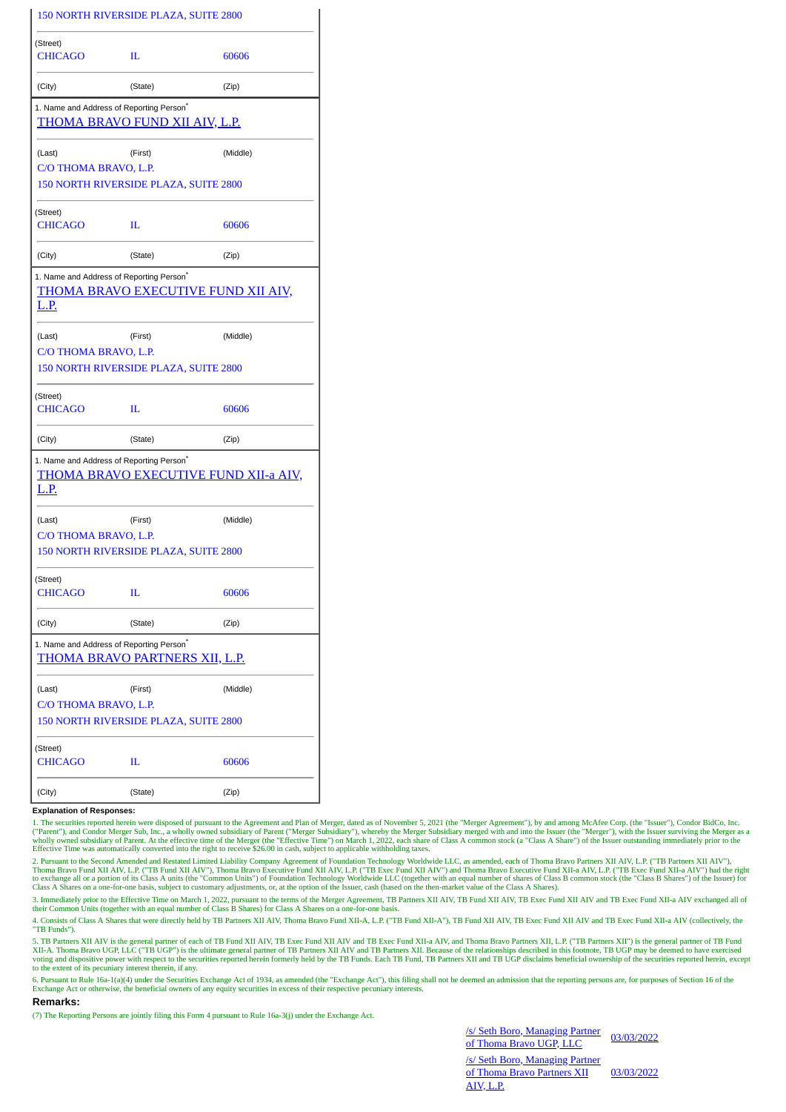|                                                                     | 150 NORTH RIVERSIDE PLAZA, SUITE 2800        |          |
|---------------------------------------------------------------------|----------------------------------------------|----------|
| (Street)<br><b>CHICAGO</b>                                          | п                                            | 60606    |
| (City)                                                              | (State)                                      | (Zip)    |
| 1. Name and Address of Reporting Person <sup>*</sup>                | THOMA BRAVO FUND XII AIV, L.P.               |          |
| (Last)<br>C/O THOMA BRAVO, L.P.                                     | (First)                                      | (Middle) |
|                                                                     | 150 NORTH RIVERSIDE PLAZA, SUITE 2800        |          |
| (Street)<br><b>CHICAGO</b>                                          | п                                            | 60606    |
| (City)                                                              | (State)                                      | (Zip)    |
| 1. Name and Address of Reporting Person <sup>®</sup><br><u>L.P.</u> | THOMA BRAVO EXECUTIVE FUND XII AIV,          |          |
| (Last)<br>C/O THOMA BRAVO, L.P.                                     | (First)                                      | (Middle) |
|                                                                     | 150 NORTH RIVERSIDE PLAZA, SUITE 2800        |          |
| (Street)<br><b>CHICAGO</b>                                          | п                                            | 60606    |
| (City)                                                              | (State)                                      | (Zip)    |
| 1. Name and Address of Reporting Person <sup>®</sup><br>L.P.        | <u>THOMA BRAVO EXECUTIVE FUND XII-a AIV,</u> |          |
| (Last)                                                              | (First)                                      | (Middle) |
| C/O THOMA BRAVO, L.P.                                               | 150 NORTH RIVERSIDE PLAZA, SUITE 2800        |          |
| (Street)<br><b>CHICAGO</b>                                          | IL                                           | 60606    |
| (City)                                                              | (State)                                      | (Zip)    |
| 1. Name and Address of Reporting Person <sup>*</sup>                | THOMA BRAVO PARTNERS XII, L.P.               |          |
| (Last)                                                              | (First)                                      | (Middle) |
| C/O THOMA BRAVO, L.P.                                               | 150 NORTH RIVERSIDE PLAZA, SUITE 2800        |          |
| (Street)                                                            |                                              |          |
| <b>CHICAGO</b>                                                      | IL                                           | 60606    |
| (City)                                                              | (State)                                      | (Zip)    |

**Explanation of Responses:**

1. The securities reported herein were disposed of pursuant to the Agreement and Plan of Merger, dated as of November 5, 2021 (the "Merger Agreement"), by and among McAfee Corp. (the "Issuer"), Condor BidCo, Inc.<br>("Parent"

2. Pursuant to the Second Amended and Restated Limited Liability Company Agreement of Foundation Technology Worldwide LLC, as amended, each of Thoma Bravo Partners XII AIV, L.P. ("TB Partners XII AIV"), Thoma Bravo Fund XII AIV, L.P. ("TB Fund XII AIV"), Thoma Bravo Executive Fund XII AIV, L.P. ("TB Exec Fund XII AIV") and Thoma Bravo Executive Fund XII-a AIV, L.P. ("TB Exec Fund XII-a AIV") had the right<br>to exchange all Class A Shares on a one-for-one basis, subject to customary adjustments, or, at the option of the Issuer, cash (based on the then-market value of the Class A Shares).

3. Immediately prior to the Effective Time on March 1, 2022, pursuant to the terms of the Merger Agreement, TB Partners XII AIV, TB Fund XII AIV, TB Exec Fund XII AIV and TB Exec Fund XII-a AIV exchanged all of<br>their Commo

4. Consists of Class A Shares that were directly held by TB Partners XII AIV, Thoma Bravo Fund XII-A, L.P. ("TB Fund XII-A"), TB Fund XII AIV, TB Exec Fund XII AIV and TB Exec Fund XII-a AIV (collectively, the "TB Funds").

5. TB Partners XII AIV is the general partner of each of TB Fund XII AIV, TB Exec Fund XII AIV and TB Exec Fund XII-a AIV, and Thoma Bravo Partners XII, L.P. ("TB Partners XII") is the general partner of TB Fund XII-A. Tho

6. Pursuant to Rule 16a-1(a)(4) under the Securities Exchange Act of 1934, as amended (the "Exchange Act"), this filing shall not be deemed an admission that the reporting persons are, for purposes of Section 16 of the Exchange Act or otherwise, the beneficial owners of any equity securities in excess of their respective pecuniary interests.

## **Remarks:**

(7) The Reporting Persons are jointly filing this Form 4 pursuant to Rule 16a-3(j) under the Exchange Act.

/s/ Seth Boro, Managing Partner <u>s/s/Seth Boro, Managing Partner</u> 03/03/2022<br>of Thoma Bravo UGP, LLC /s/ Seth Boro, Managing Partner of Thoma Bravo Partners XII AIV, L.P. 03/03/2022